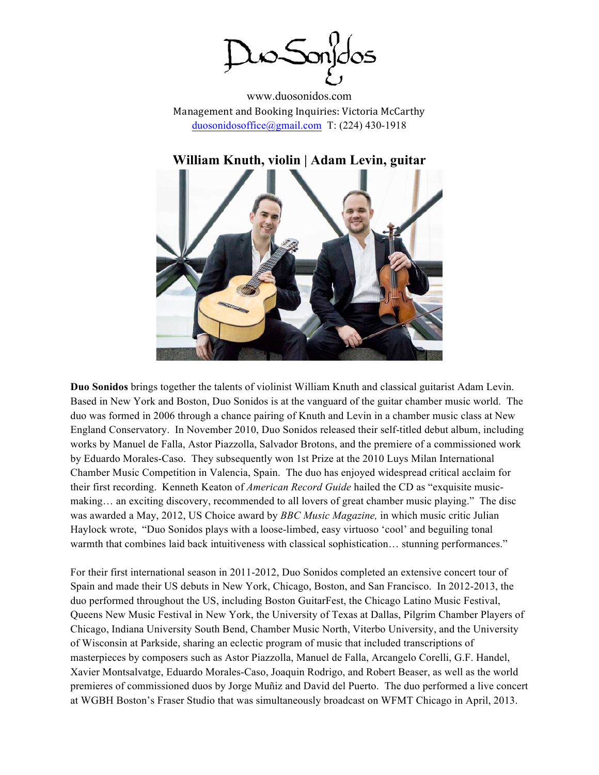uo Sonjdos

www.duosonidos.com Management and Booking Inquiries: Victoria McCarthy duosonidosoffice@gmail.com T: (224) 430-1918

# **William Knuth, violin | Adam Levin, guitar**



**Duo Sonidos** brings together the talents of violinist William Knuth and classical guitarist Adam Levin. Based in New York and Boston, Duo Sonidos is at the vanguard of the guitar chamber music world. The duo was formed in 2006 through a chance pairing of Knuth and Levin in a chamber music class at New England Conservatory. In November 2010, Duo Sonidos released their self-titled debut album, including works by Manuel de Falla, Astor Piazzolla, Salvador Brotons, and the premiere of a commissioned work by Eduardo Morales-Caso. They subsequently won 1st Prize at the 2010 Luys Milan International Chamber Music Competition in Valencia, Spain. The duo has enjoyed widespread critical acclaim for their first recording. Kenneth Keaton of *American Record Guide* hailed the CD as "exquisite musicmaking… an exciting discovery, recommended to all lovers of great chamber music playing." The disc was awarded a May, 2012, US Choice award by *BBC Music Magazine,* in which music critic Julian Haylock wrote, "Duo Sonidos plays with a loose-limbed, easy virtuoso 'cool' and beguiling tonal warmth that combines laid back intuitiveness with classical sophistication... stunning performances."

For their first international season in 2011-2012, Duo Sonidos completed an extensive concert tour of Spain and made their US debuts in New York, Chicago, Boston, and San Francisco. In 2012-2013, the duo performed throughout the US, including Boston GuitarFest, the Chicago Latino Music Festival, Queens New Music Festival in New York, the University of Texas at Dallas, Pilgrim Chamber Players of Chicago, Indiana University South Bend, Chamber Music North, Viterbo University, and the University of Wisconsin at Parkside, sharing an eclectic program of music that included transcriptions of masterpieces by composers such as Astor Piazzolla, Manuel de Falla, Arcangelo Corelli, G.F. Handel, Xavier Montsalvatge, Eduardo Morales-Caso, Joaquin Rodrigo, and Robert Beaser, as well as the world premieres of commissioned duos by Jorge Muñiz and David del Puerto. The duo performed a live concert at WGBH Boston's Fraser Studio that was simultaneously broadcast on WFMT Chicago in April, 2013.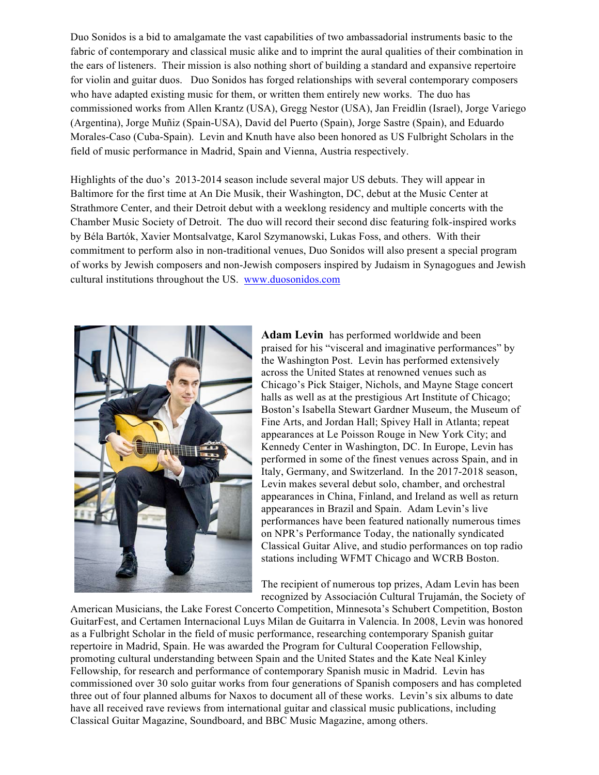Duo Sonidos is a bid to amalgamate the vast capabilities of two ambassadorial instruments basic to the fabric of contemporary and classical music alike and to imprint the aural qualities of their combination in the ears of listeners. Their mission is also nothing short of building a standard and expansive repertoire for violin and guitar duos. Duo Sonidos has forged relationships with several contemporary composers who have adapted existing music for them, or written them entirely new works. The duo has commissioned works from Allen Krantz (USA), Gregg Nestor (USA), Jan Freidlin (Israel), Jorge Variego (Argentina), Jorge Muñiz (Spain-USA), David del Puerto (Spain), Jorge Sastre (Spain), and Eduardo Morales-Caso (Cuba-Spain). Levin and Knuth have also been honored as US Fulbright Scholars in the field of music performance in Madrid, Spain and Vienna, Austria respectively.

Highlights of the duo's 2013-2014 season include several major US debuts. They will appear in Baltimore for the first time at An Die Musik, their Washington, DC, debut at the Music Center at Strathmore Center, and their Detroit debut with a weeklong residency and multiple concerts with the Chamber Music Society of Detroit. The duo will record their second disc featuring folk-inspired works by Béla Bartók, Xavier Montsalvatge, Karol Szymanowski, Lukas Foss, and others. With their commitment to perform also in non-traditional venues, Duo Sonidos will also present a special program of works by Jewish composers and non-Jewish composers inspired by Judaism in Synagogues and Jewish cultural institutions throughout the US. www.duosonidos.com



**Adam Levin** has performed worldwide and been praised for his "visceral and imaginative performances" by the Washington Post. Levin has performed extensively across the United States at renowned venues such as Chicago's Pick Staiger, Nichols, and Mayne Stage concert halls as well as at the prestigious Art Institute of Chicago; Boston's Isabella Stewart Gardner Museum, the Museum of Fine Arts, and Jordan Hall; Spivey Hall in Atlanta; repeat appearances at Le Poisson Rouge in New York City; and Kennedy Center in Washington, DC. In Europe, Levin has performed in some of the finest venues across Spain, and in Italy, Germany, and Switzerland. In the 2017-2018 season, Levin makes several debut solo, chamber, and orchestral appearances in China, Finland, and Ireland as well as return appearances in Brazil and Spain. Adam Levin's live performances have been featured nationally numerous times on NPR's Performance Today, the nationally syndicated Classical Guitar Alive, and studio performances on top radio stations including WFMT Chicago and WCRB Boston.

The recipient of numerous top prizes, Adam Levin has been recognized by Associación Cultural Trujamán, the Society of

American Musicians, the Lake Forest Concerto Competition, Minnesota's Schubert Competition, Boston GuitarFest, and Certamen Internacional Luys Milan de Guitarra in Valencia. In 2008, Levin was honored as a Fulbright Scholar in the field of music performance, researching contemporary Spanish guitar repertoire in Madrid, Spain. He was awarded the Program for Cultural Cooperation Fellowship, promoting cultural understanding between Spain and the United States and the Kate Neal Kinley Fellowship, for research and performance of contemporary Spanish music in Madrid. Levin has commissioned over 30 solo guitar works from four generations of Spanish composers and has completed three out of four planned albums for Naxos to document all of these works. Levin's six albums to date have all received rave reviews from international guitar and classical music publications, including Classical Guitar Magazine, Soundboard, and BBC Music Magazine, among others.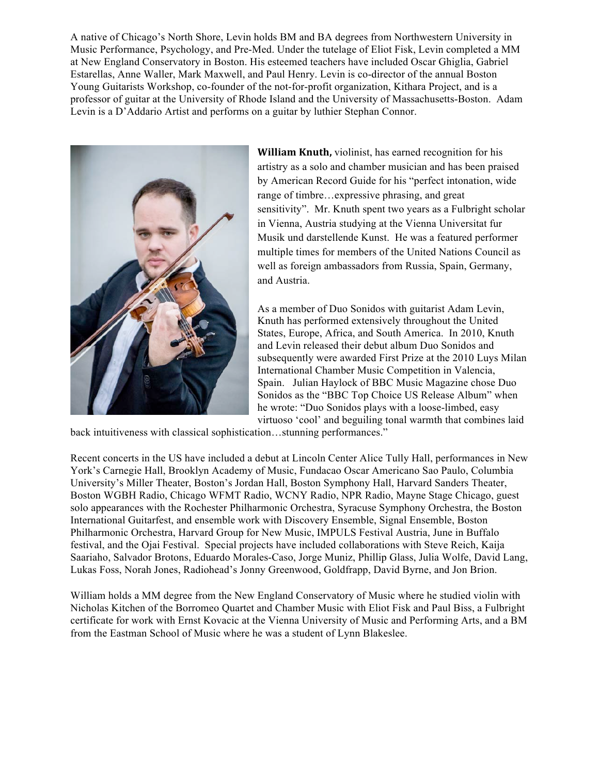A native of Chicago's North Shore, Levin holds BM and BA degrees from Northwestern University in Music Performance, Psychology, and Pre-Med. Under the tutelage of Eliot Fisk, Levin completed a MM at New England Conservatory in Boston. His esteemed teachers have included Oscar Ghiglia, Gabriel Estarellas, Anne Waller, Mark Maxwell, and Paul Henry. Levin is co-director of the annual Boston Young Guitarists Workshop, co-founder of the not-for-profit organization, Kithara Project, and is a professor of guitar at the University of Rhode Island and the University of Massachusetts-Boston. Adam Levin is a D'Addario Artist and performs on a guitar by luthier Stephan Connor.



**William Knuth,** violinist, has earned recognition for his artistry as a solo and chamber musician and has been praised by American Record Guide for his "perfect intonation, wide range of timbre…expressive phrasing, and great sensitivity". Mr. Knuth spent two years as a Fulbright scholar in Vienna, Austria studying at the Vienna Universitat fur Musik und darstellende Kunst. He was a featured performer multiple times for members of the United Nations Council as well as foreign ambassadors from Russia, Spain, Germany, and Austria.

As a member of Duo Sonidos with guitarist Adam Levin, Knuth has performed extensively throughout the United States, Europe, Africa, and South America. In 2010, Knuth and Levin released their debut album Duo Sonidos and subsequently were awarded First Prize at the 2010 Luys Milan International Chamber Music Competition in Valencia, Spain. Julian Haylock of BBC Music Magazine chose Duo Sonidos as the "BBC Top Choice US Release Album" when he wrote: "Duo Sonidos plays with a loose-limbed, easy virtuoso 'cool' and beguiling tonal warmth that combines laid

back intuitiveness with classical sophistication…stunning performances."

Recent concerts in the US have included a debut at Lincoln Center Alice Tully Hall, performances in New York's Carnegie Hall, Brooklyn Academy of Music, Fundacao Oscar Americano Sao Paulo, Columbia University's Miller Theater, Boston's Jordan Hall, Boston Symphony Hall, Harvard Sanders Theater, Boston WGBH Radio, Chicago WFMT Radio, WCNY Radio, NPR Radio, Mayne Stage Chicago, guest solo appearances with the Rochester Philharmonic Orchestra, Syracuse Symphony Orchestra, the Boston International Guitarfest, and ensemble work with Discovery Ensemble, Signal Ensemble, Boston Philharmonic Orchestra, Harvard Group for New Music, IMPULS Festival Austria, June in Buffalo festival, and the Ojai Festival. Special projects have included collaborations with Steve Reich, Kaija Saariaho, Salvador Brotons, Eduardo Morales-Caso, Jorge Muniz, Phillip Glass, Julia Wolfe, David Lang, Lukas Foss, Norah Jones, Radiohead's Jonny Greenwood, Goldfrapp, David Byrne, and Jon Brion.

William holds a MM degree from the New England Conservatory of Music where he studied violin with Nicholas Kitchen of the Borromeo Quartet and Chamber Music with Eliot Fisk and Paul Biss, a Fulbright certificate for work with Ernst Kovacic at the Vienna University of Music and Performing Arts, and a BM from the Eastman School of Music where he was a student of Lynn Blakeslee.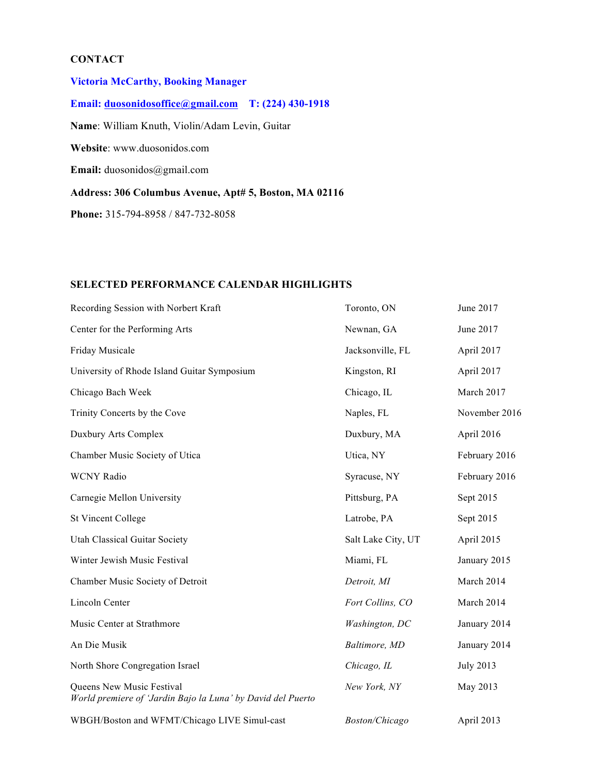## **CONTACT**

**Victoria McCarthy, Booking Manager Email: duosonidosoffice@gmail.com T: (224) 430-1918 Name**: William Knuth, Violin/Adam Levin, Guitar **Website**: www.duosonidos.com **Email:** duosonidos@gmail.com **Address: 306 Columbus Avenue, Apt# 5, Boston, MA 02116 Phone:** 315-794-8958 / 847-732-8058

#### **SELECTED PERFORMANCE CALENDAR HIGHLIGHTS**

| Recording Session with Norbert Kraft                                                     | Toronto, ON           | June 2017        |
|------------------------------------------------------------------------------------------|-----------------------|------------------|
| Center for the Performing Arts                                                           | Newnan, GA            | June 2017        |
| Friday Musicale                                                                          | Jacksonville, FL      | April 2017       |
| University of Rhode Island Guitar Symposium                                              | Kingston, RI          | April 2017       |
| Chicago Bach Week                                                                        | Chicago, IL           | March 2017       |
| Trinity Concerts by the Cove                                                             | Naples, FL            | November 2016    |
| Duxbury Arts Complex                                                                     | Duxbury, MA           | April 2016       |
| Chamber Music Society of Utica                                                           | Utica, NY             | February 2016    |
| <b>WCNY Radio</b>                                                                        | Syracuse, NY          | February 2016    |
| Carnegie Mellon University                                                               | Pittsburg, PA         | Sept 2015        |
| <b>St Vincent College</b>                                                                | Latrobe, PA           | Sept 2015        |
| <b>Utah Classical Guitar Society</b>                                                     | Salt Lake City, UT    | April 2015       |
| Winter Jewish Music Festival                                                             | Miami, FL             | January 2015     |
| Chamber Music Society of Detroit                                                         | Detroit, MI           | March 2014       |
| Lincoln Center                                                                           | Fort Collins, CO      | March 2014       |
| Music Center at Strathmore                                                               | Washington, DC        | January 2014     |
| An Die Musik                                                                             | Baltimore, MD         | January 2014     |
| North Shore Congregation Israel                                                          | Chicago, IL           | <b>July 2013</b> |
| Queens New Music Festival<br>World premiere of 'Jardin Bajo la Luna' by David del Puerto | New York, NY          | May 2013         |
| WBGH/Boston and WFMT/Chicago LIVE Simul-cast                                             | <b>Boston/Chicago</b> | April 2013       |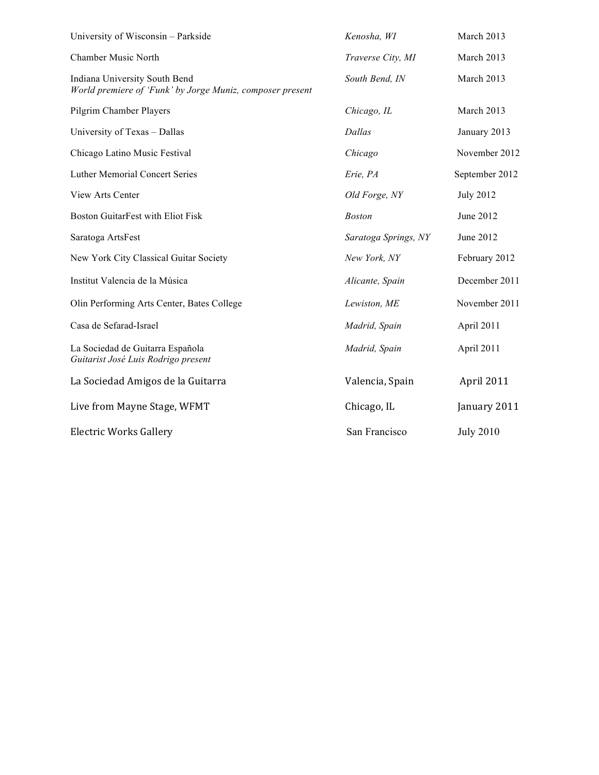| University of Wisconsin - Parkside                                                         | Kenosha, WI          | March 2013       |
|--------------------------------------------------------------------------------------------|----------------------|------------------|
| <b>Chamber Music North</b>                                                                 | Traverse City, MI    | March 2013       |
| Indiana University South Bend<br>World premiere of 'Funk' by Jorge Muniz, composer present | South Bend, IN       | March 2013       |
| Pilgrim Chamber Players                                                                    | Chicago, IL          | March 2013       |
| University of Texas - Dallas                                                               | Dallas               | January 2013     |
| Chicago Latino Music Festival                                                              | Chicago              | November 2012    |
| <b>Luther Memorial Concert Series</b>                                                      | Erie, PA             | September 2012   |
| View Arts Center                                                                           | Old Forge, NY        | <b>July 2012</b> |
| <b>Boston GuitarFest with Eliot Fisk</b>                                                   | <b>Boston</b>        | June 2012        |
| Saratoga ArtsFest                                                                          | Saratoga Springs, NY | June 2012        |
| New York City Classical Guitar Society                                                     | New York, NY         | February 2012    |
| Institut Valencia de la Música                                                             | Alicante, Spain      | December 2011    |
| Olin Performing Arts Center, Bates College                                                 | Lewiston, ME         | November 2011    |
| Casa de Sefarad-Israel                                                                     | Madrid, Spain        | April 2011       |
| La Sociedad de Guitarra Española<br>Guitarist José Luis Rodrigo present                    | Madrid, Spain        | April 2011       |
| La Sociedad Amigos de la Guitarra                                                          | Valencia, Spain      | April 2011       |
| Live from Mayne Stage, WFMT                                                                | Chicago, IL          | January 2011     |
| <b>Electric Works Gallery</b>                                                              | San Francisco        | <b>July 2010</b> |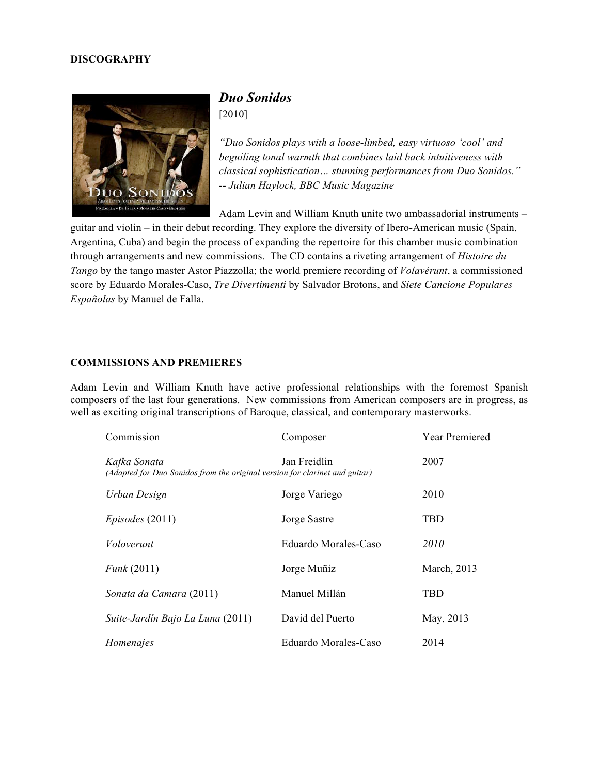#### **DISCOGRAPHY**



## *Duo Sonidos* [2010]

*"Duo Sonidos plays with a loose-limbed, easy virtuoso 'cool' and beguiling tonal warmth that combines laid back intuitiveness with classical sophistication… stunning performances from Duo Sonidos." -- Julian Haylock, BBC Music Magazine*

Adam Levin and William Knuth unite two ambassadorial instruments –

guitar and violin – in their debut recording. They explore the diversity of Ibero-American music (Spain, Argentina, Cuba) and begin the process of expanding the repertoire for this chamber music combination through arrangements and new commissions. The CD contains a riveting arrangement of *Histoire du Tango* by the tango master Astor Piazzolla; the world premiere recording of *Volavérunt*, a commissioned score by Eduardo Morales-Caso, *Tre Divertimenti* by Salvador Brotons, and *Siete Cancione Populares Españolas* by Manuel de Falla.

#### **COMMISSIONS AND PREMIERES**

Adam Levin and William Knuth have active professional relationships with the foremost Spanish composers of the last four generations. New commissions from American composers are in progress, as well as exciting original transcriptions of Baroque, classical, and contemporary masterworks.

| Commission                                                                                  | Composer             | <b>Year Premiered</b> |
|---------------------------------------------------------------------------------------------|----------------------|-----------------------|
| Kafka Sonata<br>(Adapted for Duo Sonidos from the original version for clarinet and guitar) | Jan Freidlin         | 2007                  |
| Urban Design                                                                                | Jorge Variego        | 2010                  |
| $Episodes$ (2011)                                                                           | Jorge Sastre         | TBD                   |
| Voloverunt                                                                                  | Eduardo Morales-Caso | 2010                  |
| Funk(2011)                                                                                  | Jorge Muñiz          | March, 2013           |
| Sonata da Camara (2011)                                                                     | Manuel Millán        | TBD                   |
| Suite-Jardín Bajo La Luna (2011)                                                            | David del Puerto     | May, 2013             |
| Homenajes                                                                                   | Eduardo Morales-Caso | 2014                  |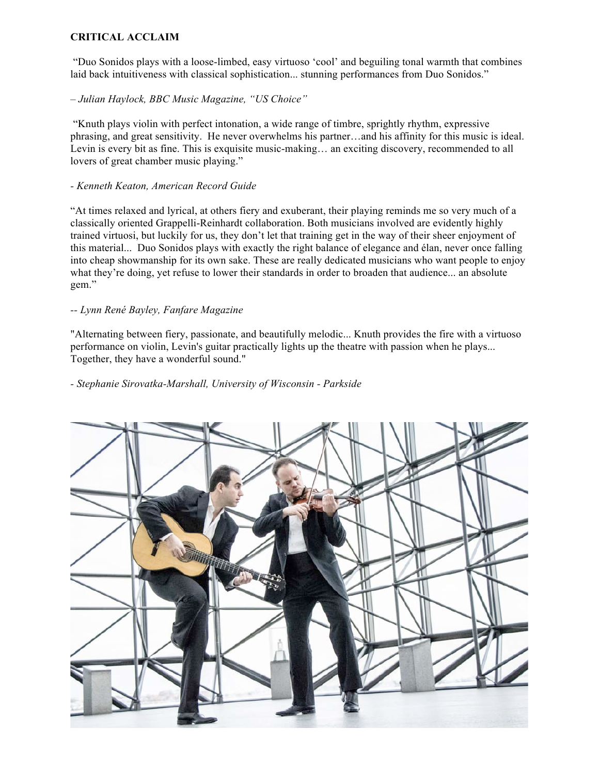#### **CRITICAL ACCLAIM**

"Duo Sonidos plays with a loose-limbed, easy virtuoso 'cool' and beguiling tonal warmth that combines laid back intuitiveness with classical sophistication... stunning performances from Duo Sonidos."

– *Julian Haylock, BBC Music Magazine, "US Choice"*

"Knuth plays violin with perfect intonation, a wide range of timbre, sprightly rhythm, expressive phrasing, and great sensitivity. He never overwhelms his partner…and his affinity for this music is ideal. Levin is every bit as fine. This is exquisite music-making… an exciting discovery, recommended to all lovers of great chamber music playing."

#### *- Kenneth Keaton, American Record Guide*

"At times relaxed and lyrical, at others fiery and exuberant, their playing reminds me so very much of a classically oriented Grappelli-Reinhardt collaboration. Both musicians involved are evidently highly trained virtuosi, but luckily for us, they don't let that training get in the way of their sheer enjoyment of this material... Duo Sonidos plays with exactly the right balance of elegance and élan, never once falling into cheap showmanship for its own sake. These are really dedicated musicians who want people to enjoy what they're doing, yet refuse to lower their standards in order to broaden that audience... an absolute gem."

## *-- Lynn René Bayley, Fanfare Magazine*

"Alternating between fiery, passionate, and beautifully melodic... Knuth provides the fire with a virtuoso performance on violin, Levin's guitar practically lights up the theatre with passion when he plays... Together, they have a wonderful sound."

*- Stephanie Sirovatka-Marshall, University of Wisconsin - Parkside*

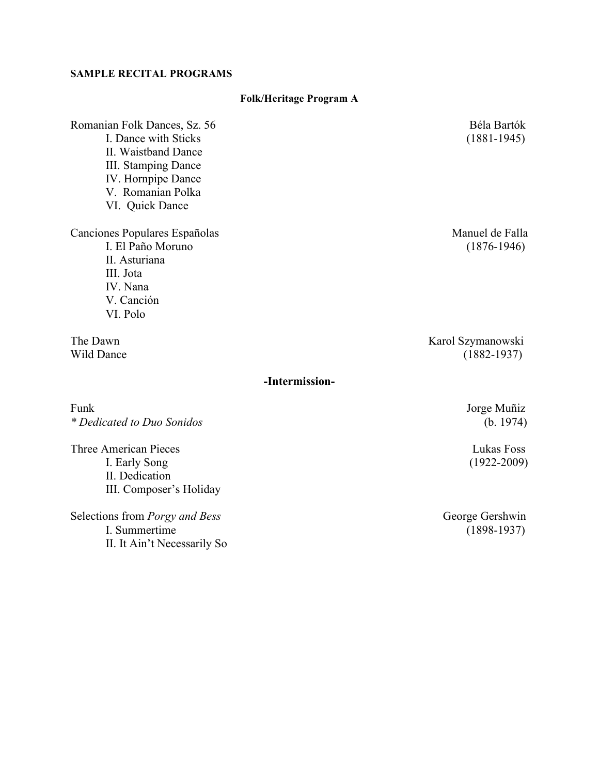### **SAMPLE RECITAL PROGRAMS**

| Romanian Folk Dances, Sz. 56              | Béla Bartók       |
|-------------------------------------------|-------------------|
| I. Dance with Sticks                      | $(1881 - 1945)$   |
| II. Waistband Dance                       |                   |
| III. Stamping Dance<br>IV. Hornpipe Dance |                   |
| V. Romanian Polka                         |                   |
| VI. Quick Dance                           |                   |
| Canciones Populares Españolas             | Manuel de Falla   |
| I. El Paño Moruno                         | $(1876 - 1946)$   |
| II. Asturiana                             |                   |
| III. Jota                                 |                   |
| IV. Nana                                  |                   |
| V. Canción<br>VI. Polo                    |                   |
|                                           |                   |
| The Dawn                                  | Karol Szymanowski |
| Wild Dance                                | $(1882 - 1937)$   |
| -Intermission-                            |                   |
| Funk                                      | Jorge Muñiz       |
| * Dedicated to Duo Sonidos                | (b. 1974)         |
| <b>Three American Pieces</b>              | Lukas Foss        |
| I. Early Song                             | $(1922 - 2009)$   |
| II. Dedication                            |                   |
| III. Composer's Holiday                   |                   |

**Folk/Heritage Program A**

Selections from *Porgy and Bess*<br>I. Summertime II. It Ain't Necessarily So George Gershwin<br>(1898-1937)